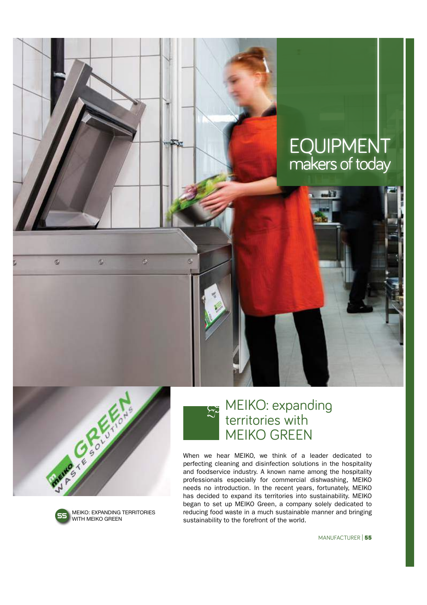



 $\sigma$ 

 $\tilde{c}_\omega$ 

a,



MEIKO: expanding territories with MEIKO GREEN

When we hear MEIKO, we think of a leader dedicated to perfecting cleaning and disinfection solutions in the hospitality and foodservice industry. A known name among the hospitality professionals especially for commercial dishwashing, MEIKO needs no introduction. In the recent years, fortunately, MEIKO has decided to expand its territories into sustainability. MEIKO began to set up MEIKO Green, a company solely dedicated to reducing food waste in a much sustainable manner and bringing sustainability to the forefront of the world.

MANUFACTURER | 55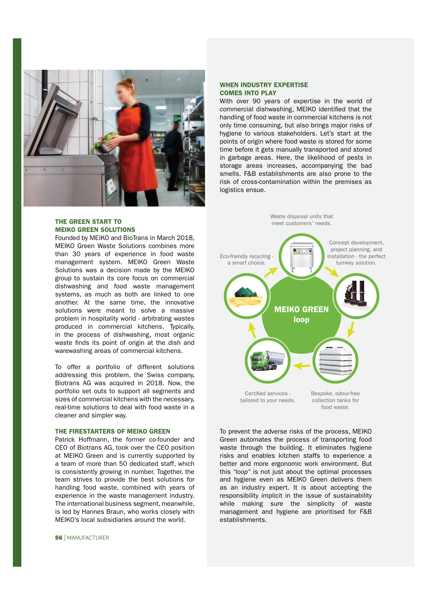

# THE GREEN START TO MEIKO GREEN SOLUTIONS

Founded by MEIKO and BioTrans in March 2018, MEIKO Green Waste Solutions combines more than 30 years of experience in food waste management system. MEIKO Green Waste Solutions was a decision made by the MEIKO group to sustain its core focus on commercial dishwashing and food waste management systems, as much as both are linked to one another. At the same time, the innovative solutions were meant to solve a massive problem in hospitality world - arbitrating wastes produced in commercial kitchens. Typically, in the process of dishwashing, most organic waste finds its point of origin at the dish and warewashing areas of commercial kitchens.

To offer a portfolio of different solutions addressing this problem, the Swiss company, Biotrans AG was acquired in 2018. Now, the portfolio set outs to support all segments and sizes of commercial kitchens with the necessary, real-time solutions to deal with food waste in a cleaner and simpler way.

## THE FIRESTARTERS OF MEIKO GREEN

Patrick Hoffmann, the former co-founder and CEO of Biotrans AG, took over the CEO position at MEIKO Green and is currently supported by a team of more than 50 dedicated staff, which is consistently growing in number. Together, the team strives to provide the best solutions for handling food waste, combined with years of experience in the waste management industry. The international business segment, meanwhile, is led by Hannes Braun, who works closely with MEIKO's local subsidiaries around the world.

#### 56 | MANUFACTURER

## WHEN INDUSTRY EXPERTISE COMES INTO PLAY

With over 90 years of expertise in the world of commercial dishwashing, MEIKO identified that the handling of food waste in commercial kitchens is not only time consuming, but also brings major risks of hygiene to various stakeholders. Let's start at the points of origin where food waste is stored for some time before it gets manually transported and stored in garbage areas. Here, the likelihood of pests in storage areas increases, accompanying the bad smells. F&B establishments are also prone to the risk of cross-contamination within the premises as logistics ensue.



To prevent the adverse risks of the process, MEIKO Green automates the process of transporting food waste through the building. It eliminates hygiene risks and enables kitchen staffs to experience a better and more ergonomic work environment. But this *"loop"* is not just about the optimal processes and hygiene even as MEIKO Green delivers them as an industry expert. It is about accepting the responsibility implicit in the issue of sustainability while making sure the simplicity of waste management and hygiene are prioritised for F&B establishments.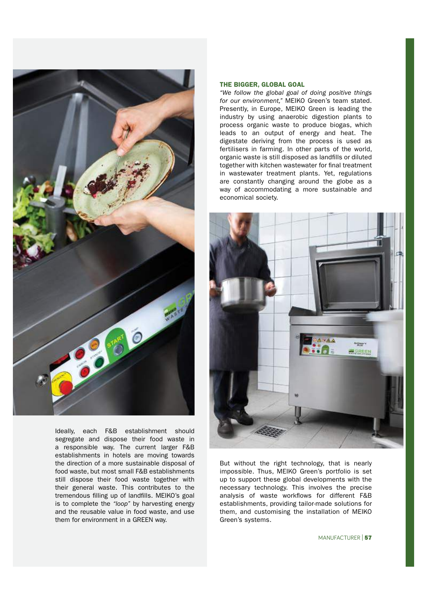

Ideally, each F&B establishment should segregate and dispose their food waste in a responsible way. The current larger F&B establishments in hotels are moving towards the direction of a more sustainable disposal of food waste, but most small F&B establishments still dispose their food waste together with their general waste. This contributes to the tremendous filling up of landfills. MEIKO's goal is to complete the *"loop"* by harvesting energy and the reusable value in food waste, and use them for environment in a GREEN way.

#### THE BIGGER, GLOBAL GOAL

*"We follow the global goal of doing positive things for our environment,"* MEIKO Green's team stated. Presently, in Europe, MEIKO Green is leading the industry by using anaerobic digestion plants to process organic waste to produce biogas, which leads to an output of energy and heat. The digestate deriving from the process is used as fertilisers in farming. In other parts of the world, organic waste is still disposed as landfills or diluted together with kitchen wastewater for final treatment in wastewater treatment plants. Yet, regulations are constantly changing around the globe as a way of accommodating a more sustainable and economical society.



But without the right technology, that is nearly impossible. Thus, MEIKO Green's portfolio is set up to support these global developments with the necessary technology. This involves the precise analysis of waste workflows for different F&B establishments, providing tailor-made solutions for them, and customising the installation of MEIKO Green's systems.

MANUFACTURER | 57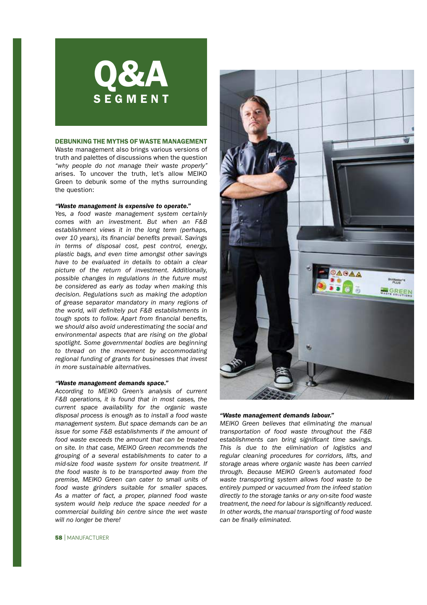

#### DEBUNKING THE MYTHS OF WASTE MANAGEMENT

Waste management also brings various versions of truth and palettes of discussions when the question *"why people do not manage their waste properly"*  arises. To uncover the truth, let's allow MEIKO Green to debunk some of the myths surrounding the question:

### *"Waste management is expensive to operate."*

*Yes, a food waste management system certainly comes with an investment. But when an F&B establishment views it in the long term (perhaps, over 10 years), its* !*nancial bene*!*ts prevail. Savings in terms of disposal cost, pest control, energy, plastic bags, and even time amongst other savings have to be evaluated in details to obtain a clear picture of the return of investment. Additionally, possible changes in regulations in the future must be considered as early as today when making this decision. Regulations such as making the adoption of grease separator mandatory in many regions of the world, will de*!*nitely put F&B establishments in tough spots to follow. Apart from financial benefits, we should also avoid underestimating the social and environmental aspects that are rising on the global spotlight. Some governmental bodies are beginning to thread on the movement by accommodating regional funding of grants for businesses that invest in more sustainable alternatives.*

#### *"Waste management demands space."*

*According to MEIKO Green's analysis of current F&B operations, it is found that in most cases, the current space availability for the organic waste disposal process is enough as to install a food waste management system. But space demands can be an issue for some F&B establishments if the amount of food waste exceeds the amount that can be treated on site. In that case, MEIKO Green recommends the grouping of a several establishments to cater to a mid-size food waste system for onsite treatment. If the food waste is to be transported away from the premise, MEIKO Green can cater to small units of food waste grinders suitable for smaller spaces. As a matter of fact, a proper, planned food waste system would help reduce the space needed for a commercial building bin centre since the wet waste will no longer be there!*



## *"Waste management demands labour."*

*MEIKO Green believes that eliminating the manual transportation of food waste throughout the F&B*   $e$ stablishments can bring significant time savings. *This is due to the elimination of logistics and regular cleaning procedures for corridors, lifts, and storage areas where organic waste has been carried through. Because MEIKO Green's automated food waste transporting system allows food waste to be entirely pumped or vacuumed from the infeed station directly to the storage tanks or any on-site food waste treatment, the need for labour is significantly reduced. In other words, the manual transporting of food waste*   $can be finally eliminated.$